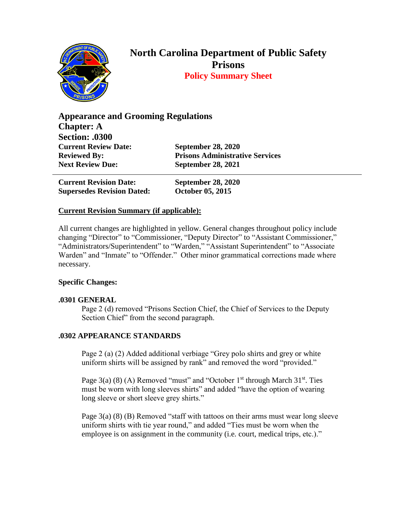

# **North Carolina Department of Public Safety Prisons Policy Summary Sheet**

**Appearance and Grooming Regulations Chapter: A Section: .0300 Current Review Date: September 28, 2020 Reviewed By: Prisons Administrative Services Next Review Due: September 28, 2021**

**Current Revision Date: September 28, 2020 Supersedes Revision Dated: October 05, 2015**

# **Current Revision Summary (if applicable):**

All current changes are highlighted in yellow. General changes throughout policy include changing "Director" to "Commissioner, "Deputy Director" to "Assistant Commissioner," "Administrators/Superintendent" to "Warden," "Assistant Superintendent" to "Associate Warden" and "Inmate" to "Offender." Other minor grammatical corrections made where necessary.

### **Specific Changes:**

### **.0301 GENERAL**

Page 2 (d) removed "Prisons Section Chief, the Chief of Services to the Deputy Section Chief" from the second paragraph.

### **.0302 APPEARANCE STANDARDS**

Page 2 (a) (2) Added additional verbiage "Grey polo shirts and grey or white uniform shirts will be assigned by rank" and removed the word "provided."

Page  $3(a)$  (8) (A) Removed "must" and "October  $1<sup>st</sup>$  through March  $31<sup>st</sup>$ . Ties must be worn with long sleeves shirts" and added "have the option of wearing long sleeve or short sleeve grey shirts."

Page 3(a) (8) (B) Removed "staff with tattoos on their arms must wear long sleeve uniform shirts with tie year round," and added "Ties must be worn when the employee is on assignment in the community (i.e. court, medical trips, etc.)."